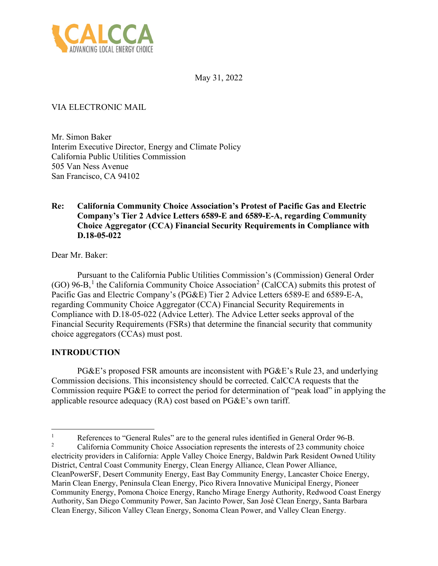

May 31, 2022

# VIA ELECTRONIC MAIL

Mr. Simon Baker Interim Executive Director, Energy and Climate Policy California Public Utilities Commission 505 Van Ness Avenue San Francisco, CA 94102

### **Re: California Community Choice Association's Protest of Pacific Gas and Electric Company's Tier 2 Advice Letters 6589-E and 6589-E-A, regarding Community Choice Aggregator (CCA) Financial Security Requirements in Compliance with D.18-05-022**

Dear Mr. Baker:

Pursuant to the California Public Utilities Commission's (Commission) General Order  $(GO)$  96-B,<sup>[1](#page-0-0)</sup> the California Community Choice Association<sup>[2](#page-0-1)</sup> (CalCCA) submits this protest of Pacific Gas and Electric Company's (PG&E) Tier 2 Advice Letters 6589-E and 6589-E-A, regarding Community Choice Aggregator (CCA) Financial Security Requirements in Compliance with D.18-05-022 (Advice Letter). The Advice Letter seeks approval of the Financial Security Requirements (FSRs) that determine the financial security that community choice aggregators (CCAs) must post.

### **INTRODUCTION**

PG&E's proposed FSR amounts are inconsistent with PG&E's Rule 23, and underlying Commission decisions. This inconsistency should be corrected. CalCCA requests that the Commission require PG&E to correct the period for determination of "peak load" in applying the applicable resource adequacy (RA) cost based on PG&E's own tariff.

<span id="page-0-1"></span><span id="page-0-0"></span><sup>1</sup> References to "General Rules" are to the general rules identified in General Order 96-B. 2 California Community Choice Association represents the interests of 23 community choice electricity providers in California: Apple Valley Choice Energy, Baldwin Park Resident Owned Utility District, Central Coast Community Energy, Clean Energy Alliance, Clean Power Alliance, CleanPowerSF, Desert Community Energy, East Bay Community Energy, Lancaster Choice Energy, Marin Clean Energy, Peninsula Clean Energy, Pico Rivera Innovative Municipal Energy, Pioneer Community Energy, Pomona Choice Energy, Rancho Mirage Energy Authority, Redwood Coast Energy Authority, San Diego Community Power, San Jacinto Power, San José Clean Energy, Santa Barbara Clean Energy, Silicon Valley Clean Energy, Sonoma Clean Power, and Valley Clean Energy.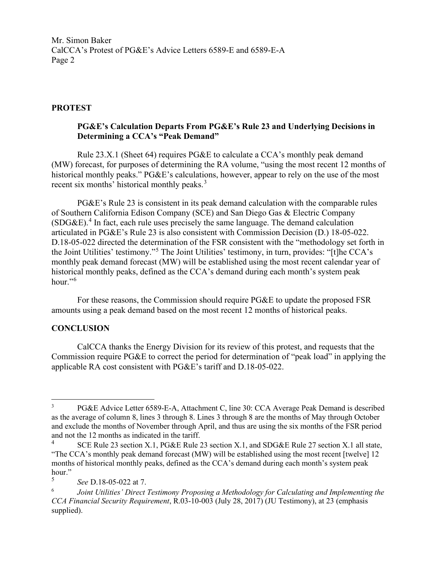Mr. Simon Baker CalCCA's Protest of PG&E's Advice Letters 6589-E and 6589-E-A Page 2

# **PROTEST**

# **PG&E's Calculation Departs From PG&E's Rule 23 and Underlying Decisions in Determining a CCA's "Peak Demand"**

Rule 23.X.1 (Sheet 64) requires PG&E to calculate a CCA's monthly peak demand (MW) forecast, for purposes of determining the RA volume, "using the most recent 12 months of historical monthly peaks." PG&E's calculations, however, appear to rely on the use of the most recent six months' historical monthly peaks.<sup>[3](#page-1-0)</sup>

PG&E's Rule 23 is consistent in its peak demand calculation with the comparable rules of Southern California Edison Company (SCE) and San Diego Gas & Electric Company  $(SDG&E).$ <sup>[4](#page-1-1)</sup> In fact, each rule uses precisely the same language. The demand calculation articulated in PG&E's Rule 23 is also consistent with Commission Decision (D.) 18-05-022. D.18-05-022 directed the determination of the FSR consistent with the "methodology set forth in the Joint Utilities' testimony."[5](#page-1-2) The Joint Utilities' testimony, in turn, provides: "[t]he CCA's monthly peak demand forecast (MW) will be established using the most recent calendar year of historical monthly peaks, defined as the CCA's demand during each month's system peak hour." $6$ 

For these reasons, the Commission should require PG&E to update the proposed FSR amounts using a peak demand based on the most recent 12 months of historical peaks.

### **CONCLUSION**

CalCCA thanks the Energy Division for its review of this protest, and requests that the Commission require PG&E to correct the period for determination of "peak load" in applying the applicable RA cost consistent with PG&E's tariff and D.18-05-022.

<span id="page-1-2"></span>5 *See* D.18-05-022 at 7.

<span id="page-1-0"></span><sup>3</sup> PG&E Advice Letter 6589-E-A, Attachment C, line 30: CCA Average Peak Demand is described as the average of column 8, lines 3 through 8. Lines 3 through 8 are the months of May through October and exclude the months of November through April, and thus are using the six months of the FSR period and not the 12 months as indicated in the tariff.<br> $^{4}$  SCE Pule 23 section  $X$  1. PG & E Pule 2

<span id="page-1-1"></span>SCE Rule 23 section X.1, PG&E Rule 23 section X.1, and SDG&E Rule 27 section X.1 all state, "The CCA's monthly peak demand forecast (MW) will be established using the most recent [twelve] 12 months of historical monthly peaks, defined as the CCA's demand during each month's system peak hour."

<span id="page-1-3"></span><sup>6</sup> *Joint Utilities' Direct Testimony Proposing a Methodology for Calculating and Implementing the CCA Financial Security Requirement*, R.03-10-003 (July 28, 2017) (JU Testimony), at 23 (emphasis supplied).